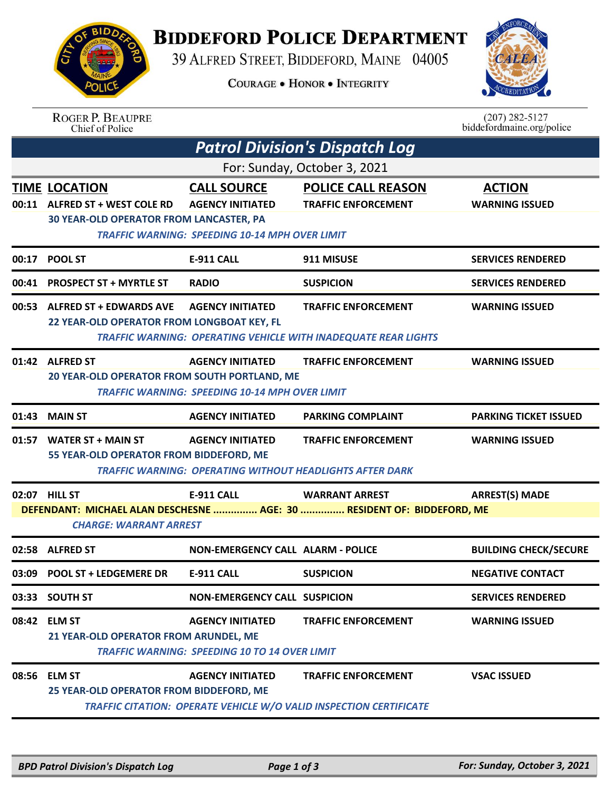

**ROGER P. BEAUPRE** 

## **BIDDEFORD POLICE DEPARTMENT**

39 ALFRED STREET, BIDDEFORD, MAINE 04005

**COURAGE . HONOR . INTEGRITY** 



 $(207)$  282-5127

|                                                                                                         | Chief of Police                                                                                           |                                                                                                        |                                                                                                     | biddefordmaine.org/police              |  |  |  |  |
|---------------------------------------------------------------------------------------------------------|-----------------------------------------------------------------------------------------------------------|--------------------------------------------------------------------------------------------------------|-----------------------------------------------------------------------------------------------------|----------------------------------------|--|--|--|--|
|                                                                                                         |                                                                                                           |                                                                                                        | <b>Patrol Division's Dispatch Log</b>                                                               |                                        |  |  |  |  |
| For: Sunday, October 3, 2021                                                                            |                                                                                                           |                                                                                                        |                                                                                                     |                                        |  |  |  |  |
| 00:11                                                                                                   | <b>TIME LOCATION</b><br><b>ALFRED ST + WEST COLE RD</b><br><b>30 YEAR-OLD OPERATOR FROM LANCASTER, PA</b> | <b>CALL SOURCE</b><br><b>AGENCY INITIATED</b><br><b>TRAFFIC WARNING: SPEEDING 10-14 MPH OVER LIMIT</b> | <b>POLICE CALL REASON</b><br><b>TRAFFIC ENFORCEMENT</b>                                             | <b>ACTION</b><br><b>WARNING ISSUED</b> |  |  |  |  |
| 00:17                                                                                                   | <b>POOL ST</b>                                                                                            | <b>E-911 CALL</b>                                                                                      | 911 MISUSE                                                                                          | <b>SERVICES RENDERED</b>               |  |  |  |  |
| 00:41                                                                                                   | <b>PROSPECT ST + MYRTLE ST</b>                                                                            | <b>RADIO</b>                                                                                           | <b>SUSPICION</b>                                                                                    | <b>SERVICES RENDERED</b>               |  |  |  |  |
| 00:53                                                                                                   | <b>ALFRED ST + EDWARDS AVE</b><br>22 YEAR-OLD OPERATOR FROM LONGBOAT KEY, FL                              | <b>AGENCY INITIATED</b>                                                                                | <b>TRAFFIC ENFORCEMENT</b><br><b>TRAFFIC WARNING: OPERATING VEHICLE WITH INADEQUATE REAR LIGHTS</b> | <b>WARNING ISSUED</b>                  |  |  |  |  |
|                                                                                                         | 01:42 ALFRED ST<br>20 YEAR-OLD OPERATOR FROM SOUTH PORTLAND, ME                                           | <b>AGENCY INITIATED</b><br><b>TRAFFIC WARNING: SPEEDING 10-14 MPH OVER LIMIT</b>                       | <b>TRAFFIC ENFORCEMENT</b>                                                                          | <b>WARNING ISSUED</b>                  |  |  |  |  |
| 01:43                                                                                                   | <b>MAIN ST</b>                                                                                            | <b>AGENCY INITIATED</b>                                                                                | <b>PARKING COMPLAINT</b>                                                                            | <b>PARKING TICKET ISSUED</b>           |  |  |  |  |
| 01:57                                                                                                   | <b>WATER ST + MAIN ST</b><br>55 YEAR-OLD OPERATOR FROM BIDDEFORD, ME                                      | <b>AGENCY INITIATED</b><br><b>TRAFFIC WARNING: OPERATING WITHOUT HEADLIGHTS AFTER DARK</b>             | <b>TRAFFIC ENFORCEMENT</b>                                                                          | <b>WARNING ISSUED</b>                  |  |  |  |  |
|                                                                                                         | 02:07 HILL ST                                                                                             | <b>E-911 CALL</b>                                                                                      | <b>WARRANT ARREST</b>                                                                               | <b>ARREST(S) MADE</b>                  |  |  |  |  |
| DEFENDANT: MICHAEL ALAN DESCHESNE  AGE: 30  RESIDENT OF: BIDDEFORD, ME<br><b>CHARGE: WARRANT ARREST</b> |                                                                                                           |                                                                                                        |                                                                                                     |                                        |  |  |  |  |
|                                                                                                         | 02:58 ALFRED ST                                                                                           | <b>NON-EMERGENCY CALL ALARM - POLICE</b>                                                               |                                                                                                     | <b>BUILDING CHECK/SECURE</b>           |  |  |  |  |
|                                                                                                         | 03:09 POOL ST + LEDGEMERE DR                                                                              | <b>E-911 CALL</b>                                                                                      | <b>SUSPICION</b>                                                                                    | <b>NEGATIVE CONTACT</b>                |  |  |  |  |
|                                                                                                         | 03:33 SOUTH ST                                                                                            | <b>NON-EMERGENCY CALL SUSPICION</b>                                                                    |                                                                                                     | <b>SERVICES RENDERED</b>               |  |  |  |  |
|                                                                                                         | 08:42 ELM ST<br>21 YEAR-OLD OPERATOR FROM ARUNDEL, ME                                                     | <b>AGENCY INITIATED</b><br><b>TRAFFIC WARNING: SPEEDING 10 TO 14 OVER LIMIT</b>                        | <b>TRAFFIC ENFORCEMENT</b>                                                                          | <b>WARNING ISSUED</b>                  |  |  |  |  |
|                                                                                                         | 08:56 ELM ST<br>25 YEAR-OLD OPERATOR FROM BIDDEFORD, ME                                                   | <b>AGENCY INITIATED</b>                                                                                | <b>TRAFFIC ENFORCEMENT</b><br>TRAFFIC CITATION: OPERATE VEHICLE W/O VALID INSPECTION CERTIFICATE    | <b>VSAC ISSUED</b>                     |  |  |  |  |
|                                                                                                         |                                                                                                           |                                                                                                        |                                                                                                     |                                        |  |  |  |  |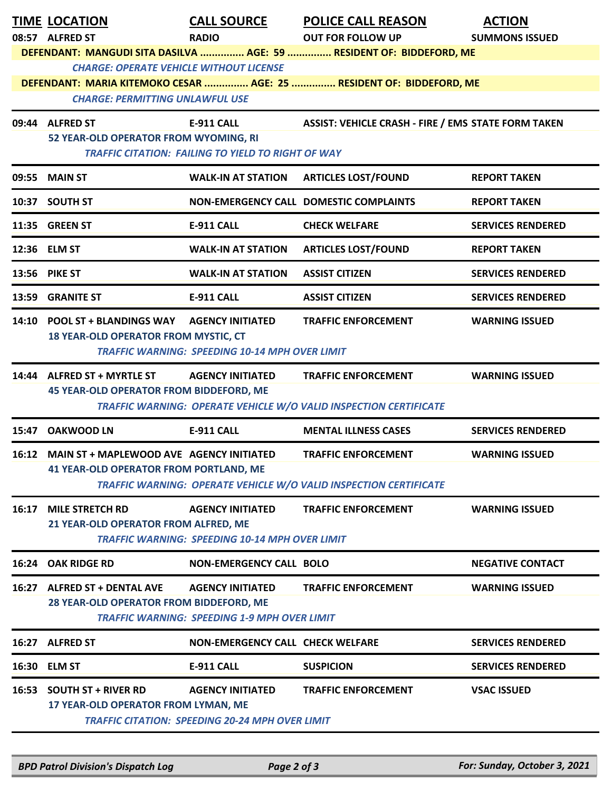|                                                                                                                                                                  | <b>TIME LOCATION</b><br>08:57 ALFRED ST                                                         | <b>CALL SOURCE</b><br><b>RADIO</b>                                                | <b>POLICE CALL REASON</b><br><b>OUT FOR FOLLOW UP</b><br>DEFENDANT: MANGUDI SITA DASILVA  AGE: 59  RESIDENT OF: BIDDEFORD, ME | <b>ACTION</b><br><b>SUMMONS ISSUED</b> |  |  |  |
|------------------------------------------------------------------------------------------------------------------------------------------------------------------|-------------------------------------------------------------------------------------------------|-----------------------------------------------------------------------------------|-------------------------------------------------------------------------------------------------------------------------------|----------------------------------------|--|--|--|
| <b>CHARGE: OPERATE VEHICLE WITHOUT LICENSE</b><br>DEFENDANT: MARIA KITEMOKO CESAR  AGE: 25  RESIDENT OF: BIDDEFORD, ME<br><b>CHARGE: PERMITTING UNLAWFUL USE</b> |                                                                                                 |                                                                                   |                                                                                                                               |                                        |  |  |  |
|                                                                                                                                                                  | 09:44 ALFRED ST<br>52 YEAR-OLD OPERATOR FROM WYOMING, RI                                        | <b>E-911 CALL</b><br><b>TRAFFIC CITATION: FAILING TO YIELD TO RIGHT OF WAY</b>    | ASSIST: VEHICLE CRASH - FIRE / EMS STATE FORM TAKEN                                                                           |                                        |  |  |  |
|                                                                                                                                                                  | 09:55 MAIN ST                                                                                   | <b>WALK-IN AT STATION</b>                                                         | <b>ARTICLES LOST/FOUND</b>                                                                                                    | <b>REPORT TAKEN</b>                    |  |  |  |
|                                                                                                                                                                  | 10:37 SOUTH ST                                                                                  |                                                                                   | NON-EMERGENCY CALL DOMESTIC COMPLAINTS                                                                                        | <b>REPORT TAKEN</b>                    |  |  |  |
|                                                                                                                                                                  | 11:35 GREEN ST                                                                                  | <b>E-911 CALL</b>                                                                 | <b>CHECK WELFARE</b>                                                                                                          | <b>SERVICES RENDERED</b>               |  |  |  |
|                                                                                                                                                                  | 12:36 ELM ST                                                                                    | <b>WALK-IN AT STATION</b>                                                         | <b>ARTICLES LOST/FOUND</b>                                                                                                    | <b>REPORT TAKEN</b>                    |  |  |  |
|                                                                                                                                                                  | 13:56 PIKE ST                                                                                   | <b>WALK-IN AT STATION</b>                                                         | <b>ASSIST CITIZEN</b>                                                                                                         | <b>SERVICES RENDERED</b>               |  |  |  |
|                                                                                                                                                                  | 13:59 GRANITE ST                                                                                | <b>E-911 CALL</b>                                                                 | <b>ASSIST CITIZEN</b>                                                                                                         | <b>SERVICES RENDERED</b>               |  |  |  |
|                                                                                                                                                                  | 14:10 POOL ST + BLANDINGS WAY AGENCY INITIATED<br><b>18 YEAR-OLD OPERATOR FROM MYSTIC, CT</b>   | <b>TRAFFIC WARNING: SPEEDING 10-14 MPH OVER LIMIT</b>                             | <b>TRAFFIC ENFORCEMENT</b>                                                                                                    | <b>WARNING ISSUED</b>                  |  |  |  |
|                                                                                                                                                                  | 14:44 ALFRED ST + MYRTLE ST<br><b>45 YEAR-OLD OPERATOR FROM BIDDEFORD, ME</b>                   | <b>AGENCY INITIATED</b>                                                           | <b>TRAFFIC ENFORCEMENT</b><br>TRAFFIC WARNING: OPERATE VEHICLE W/O VALID INSPECTION CERTIFICATE                               | <b>WARNING ISSUED</b>                  |  |  |  |
| 15:47                                                                                                                                                            | <b>OAKWOOD LN</b>                                                                               | <b>E-911 CALL</b>                                                                 | <b>MENTAL ILLNESS CASES</b>                                                                                                   | <b>SERVICES RENDERED</b>               |  |  |  |
|                                                                                                                                                                  | 16:12 MAIN ST + MAPLEWOOD AVE AGENCY INITIATED<br><b>41 YEAR-OLD OPERATOR FROM PORTLAND, ME</b> |                                                                                   | <b>TRAFFIC ENFORCEMENT</b><br><b>TRAFFIC WARNING: OPERATE VEHICLE W/O VALID INSPECTION CERTIFICATE</b>                        | <b>WARNING ISSUED</b>                  |  |  |  |
| 16:17                                                                                                                                                            | <b>MILE STRETCH RD</b><br>21 YEAR-OLD OPERATOR FROM ALFRED, ME                                  | <b>AGENCY INITIATED</b><br><b>TRAFFIC WARNING: SPEEDING 10-14 MPH OVER LIMIT</b>  | <b>TRAFFIC ENFORCEMENT</b>                                                                                                    | <b>WARNING ISSUED</b>                  |  |  |  |
|                                                                                                                                                                  | 16:24 OAK RIDGE RD                                                                              | <b>NON-EMERGENCY CALL BOLO</b>                                                    |                                                                                                                               | <b>NEGATIVE CONTACT</b>                |  |  |  |
|                                                                                                                                                                  | 16:27 ALFRED ST + DENTAL AVE<br>28 YEAR-OLD OPERATOR FROM BIDDEFORD, ME                         | <b>AGENCY INITIATED</b><br><b>TRAFFIC WARNING: SPEEDING 1-9 MPH OVER LIMIT</b>    | <b>TRAFFIC ENFORCEMENT</b>                                                                                                    | <b>WARNING ISSUED</b>                  |  |  |  |
|                                                                                                                                                                  | 16:27 ALFRED ST                                                                                 | <b>NON-EMERGENCY CALL CHECK WELFARE</b>                                           |                                                                                                                               | <b>SERVICES RENDERED</b>               |  |  |  |
|                                                                                                                                                                  | 16:30 ELM ST                                                                                    | <b>E-911 CALL</b>                                                                 | <b>SUSPICION</b>                                                                                                              | <b>SERVICES RENDERED</b>               |  |  |  |
|                                                                                                                                                                  | 16:53 SOUTH ST + RIVER RD<br>17 YEAR-OLD OPERATOR FROM LYMAN, ME                                | <b>AGENCY INITIATED</b><br><b>TRAFFIC CITATION: SPEEDING 20-24 MPH OVER LIMIT</b> | <b>TRAFFIC ENFORCEMENT</b>                                                                                                    | <b>VSAC ISSUED</b>                     |  |  |  |